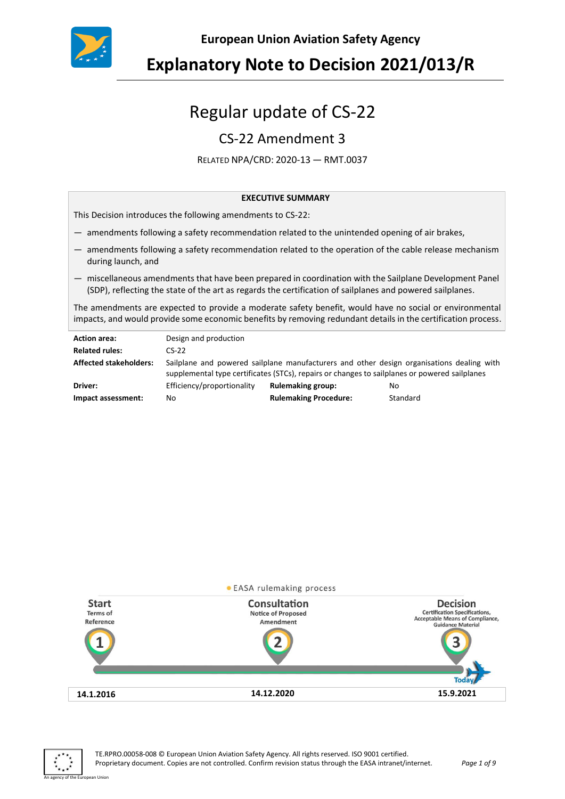

**European Union Aviation Safety Agency**

# Regular update of CS-22

# CS-22 Amendment 3

RELATED NPA/CRD: 2020-13 — RMT.0037

#### **EXECUTIVE SUMMARY**

This Decision introduces the following amendments to CS-22:

- amendments following a safety recommendation related to the unintended opening of air brakes,
- amendments following a safety recommendation related to the operation of the cable release mechanism during launch, and
- miscellaneous amendments that have been prepared in coordination with the Sailplane Development Panel (SDP), reflecting the state of the art as regards the certification of sailplanes and powered sailplanes.

The amendments are expected to provide a moderate safety benefit, would have no social or environmental impacts, and would provide some economic benefits by removing redundant details in the certification process.

| <b>Action area:</b>           | Design and production                                                                                                                                                                      |                              |          |  |
|-------------------------------|--------------------------------------------------------------------------------------------------------------------------------------------------------------------------------------------|------------------------------|----------|--|
| <b>Related rules:</b>         | $CS-22$                                                                                                                                                                                    |                              |          |  |
| <b>Affected stakeholders:</b> | Sailplane and powered sailplane manufacturers and other design organisations dealing with<br>supplemental type certificates (STCs), repairs or changes to sailplanes or powered sailplanes |                              |          |  |
| Driver:                       | Efficiency/proportionality                                                                                                                                                                 | <b>Rulemaking group:</b>     | No.      |  |
| Impact assessment:            | No                                                                                                                                                                                         | <b>Rulemaking Procedure:</b> | Standard |  |



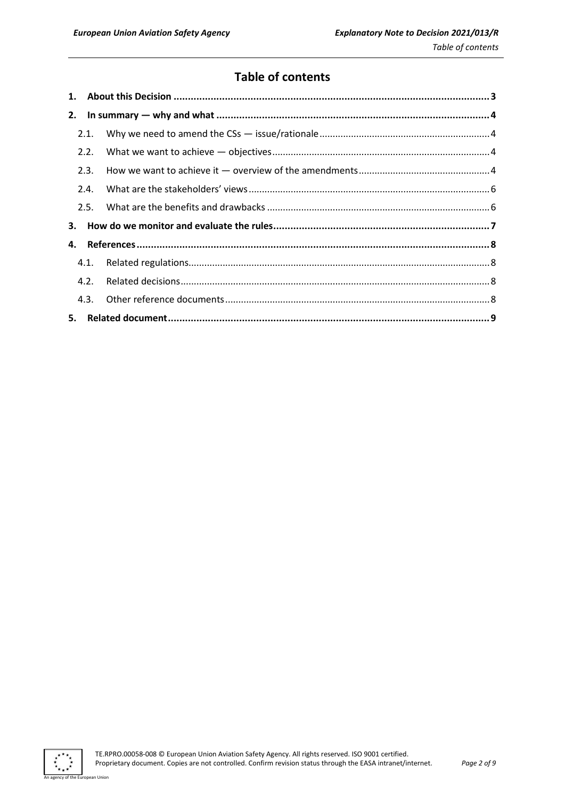# **Table of contents**

|    | 2.1. |  |  |
|----|------|--|--|
|    | 2.2. |  |  |
|    | 2.3. |  |  |
|    | 2.4. |  |  |
|    | 2.5. |  |  |
|    |      |  |  |
| 4. |      |  |  |
|    | 4.1. |  |  |
|    | 4.2. |  |  |
|    |      |  |  |
|    |      |  |  |

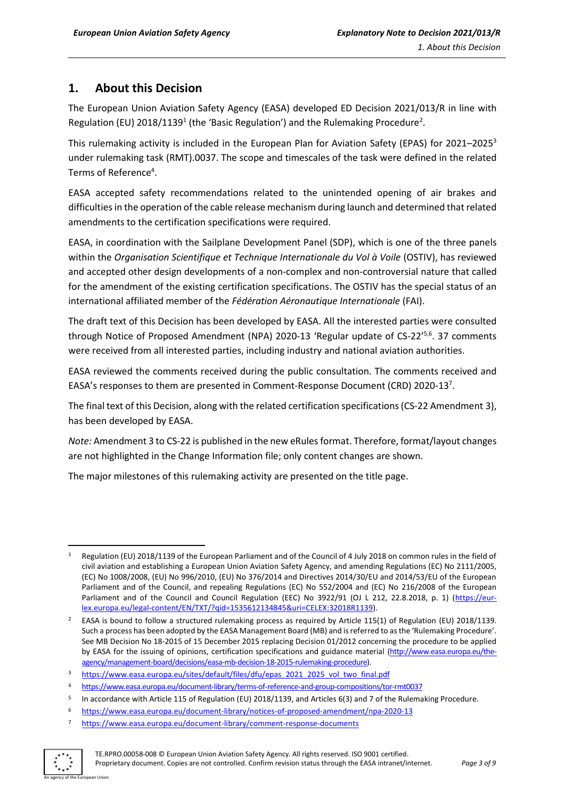# <span id="page-2-0"></span>**1. About this Decision**

The European Union Aviation Safety Agency (EASA) developed ED Decision 2021/013/R in line with Regulation (EU) 2018/1139<sup>1</sup> (the 'Basic Regulation') and the Rulemaking Procedure<sup>2</sup>.

This rulemaking activity is included in the European Plan for Aviation Safety (EPAS) for 2021–2025<sup>3</sup> under rulemaking task (RMT).0037. The scope and timescales of the task were defined in the related Terms of Reference<sup>4</sup>.

EASA accepted safety recommendations related to the unintended opening of air brakes and difficulties in the operation of the cable release mechanism during launch and determined that related amendments to the certification specifications were required.

EASA, in coordination with the Sailplane Development Panel (SDP), which is one of the three panels within the *Organisation Scientifique et Technique Internationale du Vol à Voile* (OSTIV), has reviewed and accepted other design developments of a non-complex and non-controversial nature that called for the amendment of the existing certification specifications. The OSTIV has the special status of an international affiliated member of the *Fédération Aéronautique Internationale* (FAI).

The draft text of this Decision has been developed by EASA. All the interested parties were consulted through Notice of Proposed Amendment (NPA) 2020-13 'Regular update of CS-22'<sup>5,6</sup>. 37 comments were received from all interested parties, including industry and national aviation authorities.

EASA reviewed the comments received during the public consultation. The comments received and EASA's responses to them are presented in Comment-Response Document (CRD) 2020-137.

The final text of this Decision, along with the related certification specifications(CS-22 Amendment 3), has been developed by EASA.

*Note:* Amendment 3 to CS-22 is published in the new eRulesformat. Therefore, format/layout changes are not highlighted in the Change Information file; only content changes are shown.

The major milestones of this rulemaking activity are presented on the title page.

<sup>7</sup> <https://www.easa.europa.eu/document-library/comment-response-documents>



<sup>1</sup> Regulation (EU) 2018/1139 of the European Parliament and of the Council of 4 July 2018 on common rules in the field of civil aviation and establishing a European Union Aviation Safety Agency, and amending Regulations (EC) No 2111/2005, (EC) No 1008/2008, (EU) No 996/2010, (EU) No 376/2014 and Directives 2014/30/EU and 2014/53/EU of the European Parliament and of the Council, and repealing Regulations (EC) No 552/2004 and (EC) No 216/2008 of the European Parliament and of the Council and Council Regulation (EEC) No 3922/91 (OJ L 212, 22.8.2018, p. 1) [\(https://eur](https://eur-lex.europa.eu/legal-content/EN/TXT/?qid=1535612134845&uri=CELEX:32018R1139)[lex.europa.eu/legal-content/EN/TXT/?qid=1535612134845&uri=CELEX:32018R1139\)](https://eur-lex.europa.eu/legal-content/EN/TXT/?qid=1535612134845&uri=CELEX:32018R1139).

<sup>&</sup>lt;sup>2</sup> EASA is bound to follow a structured rulemaking process as required by Article 115(1) of Regulation (EU) 2018/1139. Such a process has been adopted by the EASA Management Board (MB) and is referred to as the 'Rulemaking Procedure'. See MB Decision No 18-2015 of 15 December 2015 replacing Decision 01/2012 concerning the procedure to be applied by EASA for the issuing of opinions, certification specifications and guidance material [\(http://www.easa.europa.eu/the](http://www.easa.europa.eu/the-agency/management-board/decisions/easa-mb-decision-18-2015-rulemaking-procedure)[agency/management-board/decisions/easa-mb-decision-18-2015-rulemaking-procedure\)](http://www.easa.europa.eu/the-agency/management-board/decisions/easa-mb-decision-18-2015-rulemaking-procedure).

[https://www.easa.europa.eu/sites/default/files/dfu/epas\\_2021\\_2025\\_vol\\_two\\_final.pdf](https://www.easa.europa.eu/sites/default/files/dfu/epas_2021_2025_vol_two_final.pdf)

<sup>4</sup> <https://www.easa.europa.eu/document-library/terms-of-reference-and-group-compositions/tor-rmt0037>

<sup>5</sup> In accordance with Article 115 of Regulation (EU) 2018/1139, and Articles 6(3) and 7 of the Rulemaking Procedure.

<sup>6</sup> <https://www.easa.europa.eu/document-library/notices-of-proposed-amendment/npa-2020-13>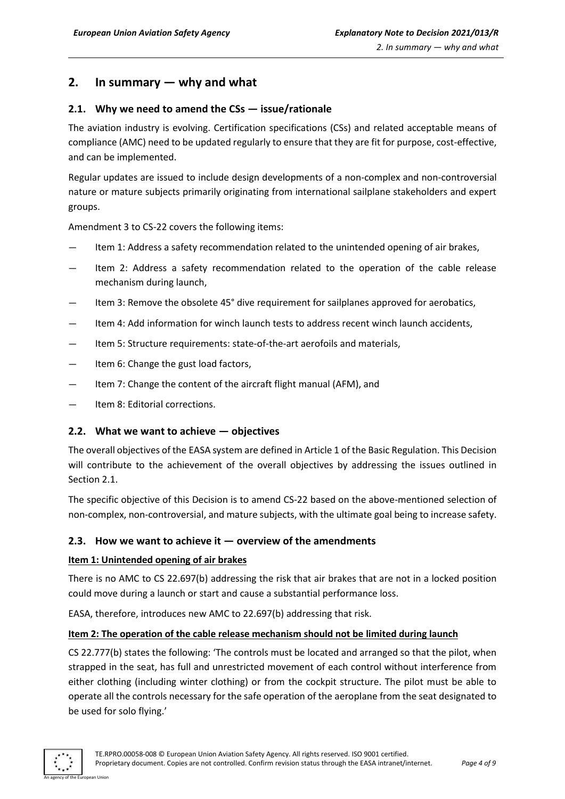## <span id="page-3-0"></span>**2. In summary — why and what**

#### <span id="page-3-1"></span>**2.1. Why we need to amend the CSs — issue/rationale**

The aviation industry is evolving. Certification specifications (CSs) and related acceptable means of compliance (AMC) need to be updated regularly to ensure that they are fit for purpose, cost-effective, and can be implemented.

Regular updates are issued to include design developments of a non-complex and non-controversial nature or mature subjects primarily originating from international sailplane stakeholders and expert groups.

Amendment 3 to CS-22 covers the following items:

- Item 1: Address a safety recommendation related to the unintended opening of air brakes,
- Item 2: Address a safety recommendation related to the operation of the cable release mechanism during launch,
- Item 3: Remove the obsolete 45° dive requirement for sailplanes approved for aerobatics,
- Item 4: Add information for winch launch tests to address recent winch launch accidents,
- Item 5: Structure requirements: state-of-the-art aerofoils and materials,
- Item 6: Change the gust load factors,
- Item 7: Change the content of the aircraft flight manual (AFM), and
- Item 8: Editorial corrections.

#### <span id="page-3-2"></span>**2.2. What we want to achieve — objectives**

The overall objectives of the EASA system are defined in Article 1 of the Basic Regulation. This Decision will contribute to the achievement of the overall objectives by addressing the issues outlined in Section 2.1.

The specific objective of this Decision is to amend CS-22 based on the above-mentioned selection of non-complex, non-controversial, and mature subjects, with the ultimate goal being to increase safety.

#### <span id="page-3-3"></span>**2.3. How we want to achieve it — overview of the amendments**

#### **Item 1: Unintended opening of air brakes**

There is no AMC to CS 22.697(b) addressing the risk that air brakes that are not in a locked position could move during a launch or start and cause a substantial performance loss.

EASA, therefore, introduces new AMC to 22.697(b) addressing that risk.

#### **Item 2: The operation of the cable release mechanism should not be limited during launch**

CS 22.777(b) states the following: 'The controls must be located and arranged so that the pilot, when strapped in the seat, has full and unrestricted movement of each control without interference from either clothing (including winter clothing) or from the cockpit structure. The pilot must be able to operate all the controls necessary for the safe operation of the aeroplane from the seat designated to be used for solo flying.'

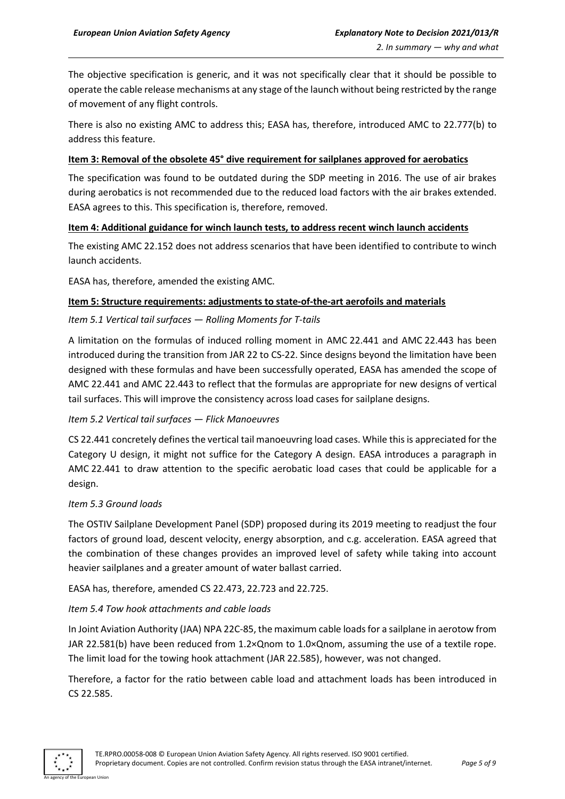The objective specification is generic, and it was not specifically clear that it should be possible to operate the cable release mechanisms at any stage of the launch without being restricted by the range of movement of any flight controls.

There is also no existing AMC to address this; EASA has, therefore, introduced AMC to 22.777(b) to address this feature.

#### **Item 3: Removal of the obsolete 45° dive requirement for sailplanes approved for aerobatics**

The specification was found to be outdated during the SDP meeting in 2016. The use of air brakes during aerobatics is not recommended due to the reduced load factors with the air brakes extended. EASA agrees to this. This specification is, therefore, removed.

#### **Item 4: Additional guidance for winch launch tests, to address recent winch launch accidents**

The existing AMC 22.152 does not address scenarios that have been identified to contribute to winch launch accidents.

EASA has, therefore, amended the existing AMC.

#### **Item 5: Structure requirements: adjustments to state-of-the-art aerofoils and materials**

#### *Item 5.1 Vertical tail surfaces — Rolling Moments for T-tails*

A limitation on the formulas of induced rolling moment in AMC 22.441 and AMC 22.443 has been introduced during the transition from JAR 22 to CS-22. Since designs beyond the limitation have been designed with these formulas and have been successfully operated, EASA has amended the scope of AMC 22.441 and AMC 22.443 to reflect that the formulas are appropriate for new designs of vertical tail surfaces. This will improve the consistency across load cases for sailplane designs.

#### *Item 5.2 Vertical tail surfaces — Flick Manoeuvres*

CS 22.441 concretely defines the vertical tail manoeuvring load cases. While this is appreciated for the Category U design, it might not suffice for the Category A design. EASA introduces a paragraph in AMC 22.441 to draw attention to the specific aerobatic load cases that could be applicable for a design.

#### *Item 5.3 Ground loads*

The OSTIV Sailplane Development Panel (SDP) proposed during its 2019 meeting to readjust the four factors of ground load, descent velocity, energy absorption, and c.g. acceleration. EASA agreed that the combination of these changes provides an improved level of safety while taking into account heavier sailplanes and a greater amount of water ballast carried.

EASA has, therefore, amended CS 22.473, 22.723 and 22.725.

#### *Item 5.4 Tow hook attachments and cable loads*

In Joint Aviation Authority (JAA) NPA 22C-85, the maximum cable loads for a sailplane in aerotow from JAR 22.581(b) have been reduced from 1.2×Qnom to 1.0×Qnom, assuming the use of a textile rope. The limit load for the towing hook attachment (JAR 22.585), however, was not changed.

Therefore, a factor for the ratio between cable load and attachment loads has been introduced in CS 22.585.

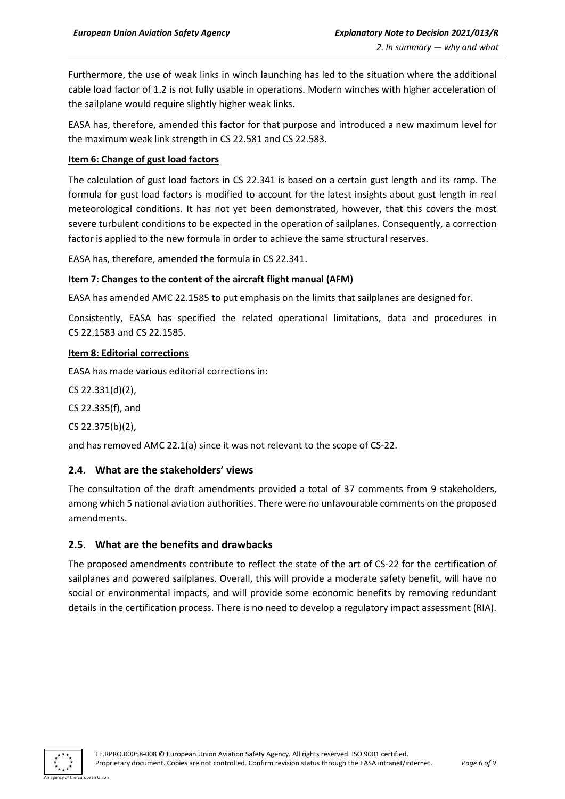Furthermore, the use of weak links in winch launching has led to the situation where the additional cable load factor of 1.2 is not fully usable in operations. Modern winches with higher acceleration of the sailplane would require slightly higher weak links.

EASA has, therefore, amended this factor for that purpose and introduced a new maximum level for the maximum weak link strength in CS 22.581 and CS 22.583.

#### **Item 6: Change of gust load factors**

The calculation of gust load factors in CS 22.341 is based on a certain gust length and its ramp. The formula for gust load factors is modified to account for the latest insights about gust length in real meteorological conditions. It has not yet been demonstrated, however, that this covers the most severe turbulent conditions to be expected in the operation of sailplanes. Consequently, a correction factor is applied to the new formula in order to achieve the same structural reserves.

EASA has, therefore, amended the formula in CS 22.341.

#### **Item 7: Changes to the content of the aircraft flight manual (AFM)**

EASA has amended AMC 22.1585 to put emphasis on the limits that sailplanes are designed for.

Consistently, EASA has specified the related operational limitations, data and procedures in CS 22.1583 and CS 22.1585.

#### **Item 8: Editorial corrections**

EASA has made various editorial corrections in:

CS 22.331(d)(2),

CS 22.335(f), and

CS 22.375(b)(2),

and has removed AMC 22.1(a) since it was not relevant to the scope of CS-22.

#### <span id="page-5-0"></span>**2.4. What are the stakeholders' views**

The consultation of the draft amendments provided a total of 37 comments from 9 stakeholders, among which 5 national aviation authorities. There were no unfavourable comments on the proposed amendments.

#### <span id="page-5-1"></span>**2.5. What are the benefits and drawbacks**

The proposed amendments contribute to reflect the state of the art of CS-22 for the certification of sailplanes and powered sailplanes. Overall, this will provide a moderate safety benefit, will have no social or environmental impacts, and will provide some economic benefits by removing redundant details in the certification process. There is no need to develop a regulatory impact assessment (RIA).

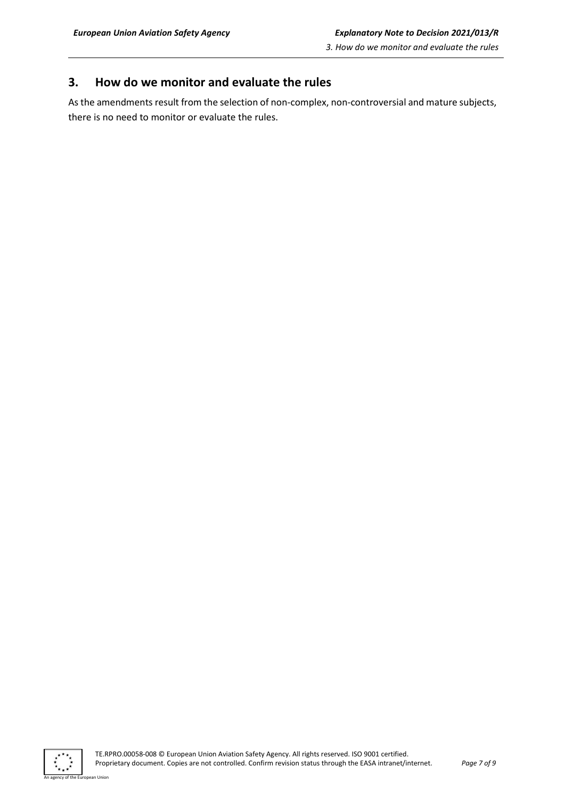## <span id="page-6-0"></span>**3. How do we monitor and evaluate the rules**

As the amendments result from the selection of non-complex, non-controversial and mature subjects, there is no need to monitor or evaluate the rules.



an Hoior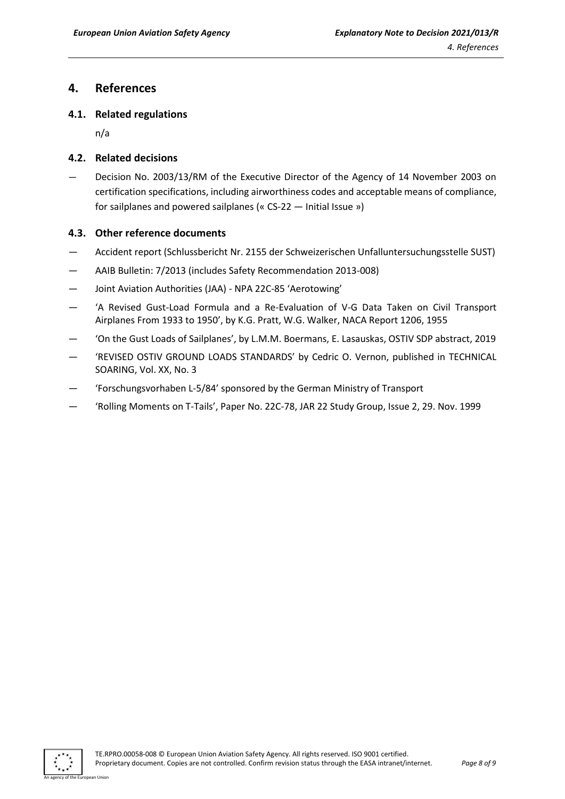### <span id="page-7-0"></span>**4. References**

#### <span id="page-7-1"></span>**4.1. Related regulations**

n/a

#### <span id="page-7-2"></span>**4.2. Related decisions**

— Decision No. 2003/13/RM of the Executive Director of the Agency of 14 November 2003 on certification specifications, including airworthiness codes and acceptable means of compliance, for sailplanes and powered sailplanes (« CS-22 — Initial Issue »)

#### <span id="page-7-3"></span>**4.3. Other reference documents**

- Accident report (Schlussbericht Nr. 2155 der Schweizerischen Unfalluntersuchungsstelle SUST)
- AAIB Bulletin: 7/2013 (includes Safety Recommendation 2013-008)
- Joint Aviation Authorities (JAA) NPA 22C-85 'Aerotowing'
- 'A Revised Gust-Load Formula and a Re-Evaluation of V-G Data Taken on Civil Transport Airplanes From 1933 to 1950', by K.G. Pratt, W.G. Walker, NACA Report 1206, 1955
- 'On the Gust Loads of Sailplanes', by L.M.M. Boermans, E. Lasauskas, OSTIV SDP abstract, 2019
- 'REVISED OSTIV GROUND LOADS STANDARDS' by Cedric O. Vernon, published in TECHNICAL SOARING, Vol. XX, No. 3
- 'Forschungsvorhaben L-5/84' sponsored by the German Ministry of Transport
- 'Rolling Moments on T-Tails', Paper No. 22C-78, JAR 22 Study Group, Issue 2, 29. Nov. 1999